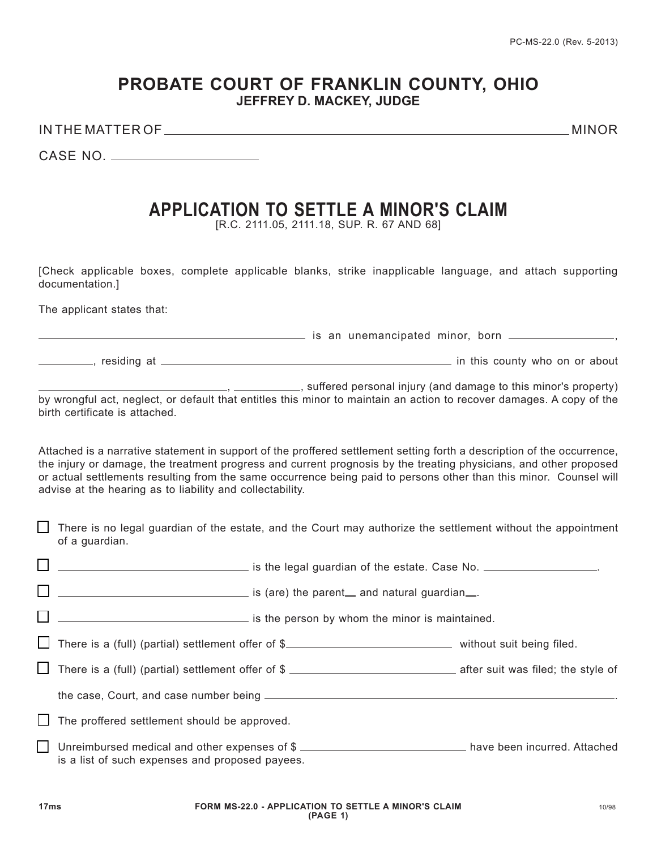## **PROBATE COURT OF FRANKLIN COUNTY, OHIO JEFFREY D. MACKEY, JUDGE**

IN THE MATTER OF MINOR

CASE NO.

## **APPLICATION TO SETTLE A MINOR'S CLAIM**

[R.C. 2111.05, 2111.18, SUP. R. 67 AND 68]

[Check applicable boxes, complete applicable blanks, strike inapplicable language, and attach supporting documentation.]

The applicant states that:

|  | is an unemancipated minor, born |  |  |
|--|---------------------------------|--|--|
|  |                                 |  |  |

LET 2008 THE 2009 SET AND THE 2009 SET AND THE 2009 SET AND THE 2009 SET AND THE 2009 SET AND THE 2009 SET ALL

<sub>-</sub>, \_\_\_\_\_\_\_\_\_\_\_\_, suffered personal injury (and damage to this minor's property) by wrongful act, neglect, or default that entitles this minor to maintain an action to recover damages. A copy of the birth certificate is attached.

Attached is a narrative statement in support of the proffered settlement setting forth a description of the occurrence, the injury or damage, the treatment progress and current prognosis by the treating physicians, and other proposed or actual settlements resulting from the same occurrence being paid to persons other than this minor. Counsel will advise at the hearing as to liability and collectability.

|              | There is no legal guardian of the estate, and the Court may authorize the settlement without the appointment<br>of a guardian. |  |  |  |  |  |  |
|--------------|--------------------------------------------------------------------------------------------------------------------------------|--|--|--|--|--|--|
|              | is the legal guardian of the estate. Case No. __________________.                                                              |  |  |  |  |  |  |
|              | is (are) the parent_ and natural guardian_.                                                                                    |  |  |  |  |  |  |
|              | is the person by whom the minor is maintained.                                                                                 |  |  |  |  |  |  |
|              | There is a (full) (partial) settlement offer of \$_________________________________ without suit being filed.                  |  |  |  |  |  |  |
| $\Box$       |                                                                                                                                |  |  |  |  |  |  |
|              |                                                                                                                                |  |  |  |  |  |  |
|              | The proffered settlement should be approved.                                                                                   |  |  |  |  |  |  |
| $\mathbf{1}$ | Unreimbursed medical and other expenses of \$<br>is a list of such expenses and proposed payees.                               |  |  |  |  |  |  |